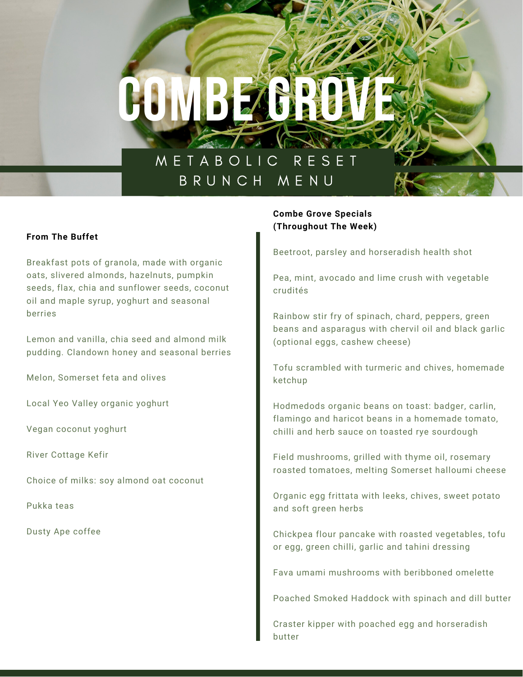# **COMBEANDER**

# M E T A B O L I C R E S E T B R U N C H M E N U

## **From The Buffet**

Breakfast pots of granola, made with organic oats, slivered almonds, hazelnuts, pumpkin seeds, flax, chia and sunflower seeds, coconut oil and maple syrup, yoghurt and seasonal berries

Lemon and vanilla, chia seed and almond milk pudding. Clandown honey and seasonal berries

Melon, Somerset feta and olives

Local Yeo Valley organic yoghurt

Vegan coconut yoghurt

River Cottage Kefir

Choice of milks: soy almond oat coconut

Pukka teas

Dusty Ape coffee

## **Combe Grove Specials (Throughout The Week)**

Beetroot, parsley and horseradish health shot

Pea, mint, avocado and lime crush with vegetable crudités

Rainbow stir fry of spinach, chard, peppers, green beans and asparagus with chervil oil and black garlic (optional eggs, cashew cheese)

Tofu scrambled with turmeric and chives, homemade ketchup

Hodmedods organic beans on toast: badger, carlin, flamingo and haricot beans in a homemade tomato, chilli and herb sauce on toasted rye sourdough

Field mushrooms, grilled with thyme oil, rosemary roasted tomatoes, melting Somerset halloumi cheese

Organic egg frittata with leeks, chives, sweet potato and soft green herbs

Chickpea flour pancake with roasted vegetables, tofu or egg, green chilli, garlic and tahini dressing

Fava umami mushrooms with beribboned omelette

Poached Smoked Haddock with spinach and dill butter

Craster kipper with poached egg and horseradish butter